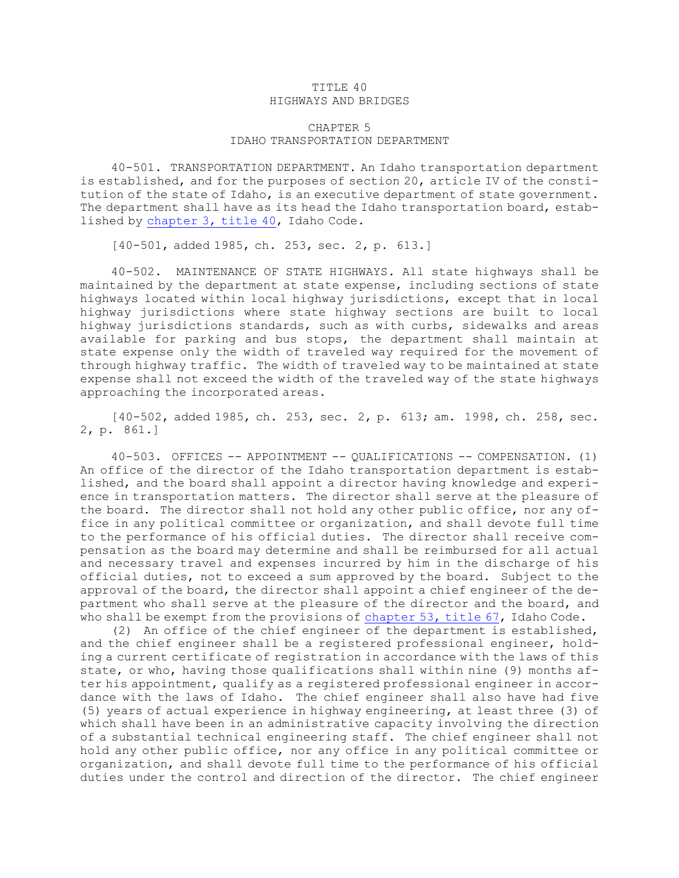## TITLE 40 HIGHWAYS AND BRIDGES

## CHAPTER 5 IDAHO TRANSPORTATION DEPARTMENT

40-501. TRANSPORTATION DEPARTMENT. An Idaho transportation department is established, and for the purposes of section 20, article IV of the constitution of the state of Idaho, is an executive department of state government. The department shall have as its head the Idaho transportation board, established by [chapter](https://legislature.idaho.gov/statutesrules/idstat/Title40/T40CH3) 3, title 40, Idaho Code.

[40-501, added 1985, ch. 253, sec. 2, p. 613.]

40-502. MAINTENANCE OF STATE HIGHWAYS. All state highways shall be maintained by the department at state expense, including sections of state highways located within local highway jurisdictions, except that in local highway jurisdictions where state highway sections are built to local highway jurisdictions standards, such as with curbs, sidewalks and areas available for parking and bus stops, the department shall maintain at state expense only the width of traveled way required for the movement of through highway traffic. The width of traveled way to be maintained at state expense shall not exceed the width of the traveled way of the state highways approaching the incorporated areas.

[40-502, added 1985, ch. 253, sec. 2, p. 613; am. 1998, ch. 258, sec. 2, p. 861.]

40-503. OFFICES -- APPOINTMENT -- QUALIFICATIONS -- COMPENSATION. (1) An office of the director of the Idaho transportation department is established, and the board shall appoint <sup>a</sup> director having knowledge and experience in transportation matters. The director shall serve at the pleasure of the board. The director shall not hold any other public office, nor any office in any political committee or organization, and shall devote full time to the performance of his official duties. The director shall receive compensation as the board may determine and shall be reimbursed for all actual and necessary travel and expenses incurred by him in the discharge of his official duties, not to exceed <sup>a</sup> sum approved by the board. Subject to the approval of the board, the director shall appoint <sup>a</sup> chief engineer of the department who shall serve at the pleasure of the director and the board, and who shall be exempt from the provisions of [chapter](https://legislature.idaho.gov/statutesrules/idstat/Title67/T67CH53) 53, title 67, Idaho Code.

(2) An office of the chief engineer of the department is established, and the chief engineer shall be <sup>a</sup> registered professional engineer, holding <sup>a</sup> current certificate of registration in accordance with the laws of this state, or who, having those qualifications shall within nine (9) months after his appointment, qualify as <sup>a</sup> registered professional engineer in accordance with the laws of Idaho. The chief engineer shall also have had five (5) years of actual experience in highway engineering, at least three (3) of which shall have been in an administrative capacity involving the direction of <sup>a</sup> substantial technical engineering staff. The chief engineer shall not hold any other public office, nor any office in any political committee or organization, and shall devote full time to the performance of his official duties under the control and direction of the director. The chief engineer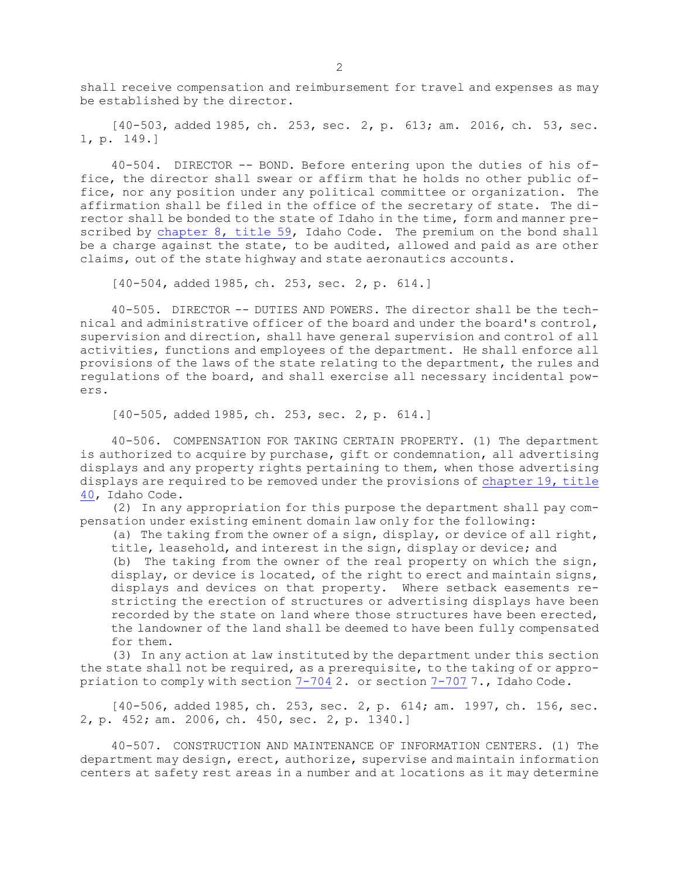shall receive compensation and reimbursement for travel and expenses as may be established by the director.

[40-503, added 1985, ch. 253, sec. 2, p. 613; am. 2016, ch. 53, sec. 1, p. 149.]

40-504. DIRECTOR -- BOND. Before entering upon the duties of his office, the director shall swear or affirm that he holds no other public office, nor any position under any political committee or organization. The affirmation shall be filed in the office of the secretary of state. The director shall be bonded to the state of Idaho in the time, form and manner prescribed by [chapter](https://legislature.idaho.gov/statutesrules/idstat/Title59/T59CH8) 8, title 59, Idaho Code. The premium on the bond shall be a charge against the state, to be audited, allowed and paid as are other claims, out of the state highway and state aeronautics accounts.

[40-504, added 1985, ch. 253, sec. 2, p. 614.]

40-505. DIRECTOR -- DUTIES AND POWERS. The director shall be the technical and administrative officer of the board and under the board's control, supervision and direction, shall have general supervision and control of all activities, functions and employees of the department. He shall enforce all provisions of the laws of the state relating to the department, the rules and regulations of the board, and shall exercise all necessary incidental powers.

[40-505, added 1985, ch. 253, sec. 2, p. 614.]

40-506. COMPENSATION FOR TAKING CERTAIN PROPERTY. (1) The department is authorized to acquire by purchase, gift or condemnation, all advertising displays and any property rights pertaining to them, when those advertising displays are required to be removed under the provisions of [chapter](https://legislature.idaho.gov/statutesrules/idstat/Title40/T40CH19) 19, title [40](https://legislature.idaho.gov/statutesrules/idstat/Title40/T40CH19), Idaho Code.

(2) In any appropriation for this purpose the department shall pay compensation under existing eminent domain law only for the following:

(a) The taking from the owner of <sup>a</sup> sign, display, or device of all right, title, leasehold, and interest in the sign, display or device; and

(b) The taking from the owner of the real property on which the sign, display, or device is located, of the right to erect and maintain signs, displays and devices on that property. Where setback easements restricting the erection of structures or advertising displays have been recorded by the state on land where those structures have been erected, the landowner of the land shall be deemed to have been fully compensated for them.

(3) In any action at law instituted by the department under this section the state shall not be required, as <sup>a</sup> prerequisite, to the taking of or appropriation to comply with section [7-704](https://legislature.idaho.gov/statutesrules/idstat/Title7/T7CH7/SECT7-704) 2. or section [7-707](https://legislature.idaho.gov/statutesrules/idstat/Title7/T7CH7/SECT7-707) 7., Idaho Code.

[40-506, added 1985, ch. 253, sec. 2, p. 614; am. 1997, ch. 156, sec. 2, p. 452; am. 2006, ch. 450, sec. 2, p. 1340.]

40-507. CONSTRUCTION AND MAINTENANCE OF INFORMATION CENTERS. (1) The department may design, erect, authorize, supervise and maintain information centers at safety rest areas in <sup>a</sup> number and at locations as it may determine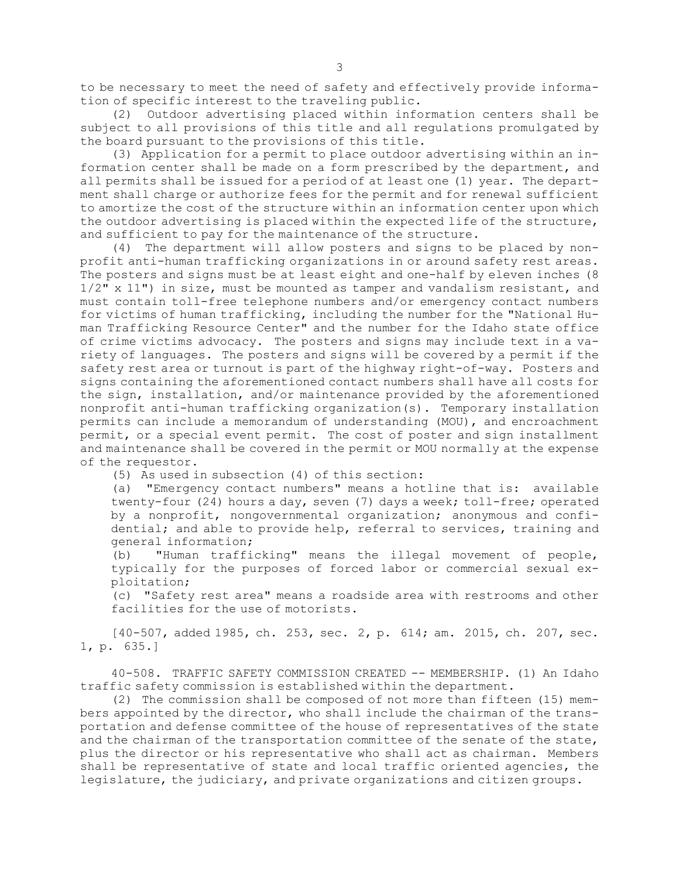to be necessary to meet the need of safety and effectively provide information of specific interest to the traveling public.

(2) Outdoor advertising placed within information centers shall be subject to all provisions of this title and all regulations promulgated by the board pursuant to the provisions of this title.

(3) Application for <sup>a</sup> permit to place outdoor advertising within an information center shall be made on <sup>a</sup> form prescribed by the department, and all permits shall be issued for <sup>a</sup> period of at least one (1) year. The department shall charge or authorize fees for the permit and for renewal sufficient to amortize the cost of the structure within an information center upon which the outdoor advertising is placed within the expected life of the structure, and sufficient to pay for the maintenance of the structure.

(4) The department will allow posters and signs to be placed by nonprofit anti-human trafficking organizations in or around safety rest areas. The posters and signs must be at least eight and one-half by eleven inches (8 1/2" <sup>x</sup> 11") in size, must be mounted as tamper and vandalism resistant, and must contain toll-free telephone numbers and/or emergency contact numbers for victims of human trafficking, including the number for the "National Human Trafficking Resource Center" and the number for the Idaho state office of crime victims advocacy. The posters and signs may include text in <sup>a</sup> variety of languages. The posters and signs will be covered by <sup>a</sup> permit if the safety rest area or turnout is part of the highway right-of-way. Posters and signs containing the aforementioned contact numbers shall have all costs for the sign, installation, and/or maintenance provided by the aforementioned nonprofit anti-human trafficking organization(s). Temporary installation permits can include <sup>a</sup> memorandum of understanding (MOU), and encroachment permit, or <sup>a</sup> special event permit. The cost of poster and sign installment and maintenance shall be covered in the permit or MOU normally at the expense of the requestor.

(5) As used in subsection (4) of this section:

(a) "Emergency contact numbers" means <sup>a</sup> hotline that is: available twenty-four (24) hours <sup>a</sup> day, seven (7) days <sup>a</sup> week; toll-free; operated by <sup>a</sup> nonprofit, nongovernmental organization; anonymous and confidential; and able to provide help, referral to services, training and general information;

(b) "Human trafficking" means the illegal movement of people, typically for the purposes of forced labor or commercial sexual exploitation;

(c) "Safety rest area" means <sup>a</sup> roadside area with restrooms and other facilities for the use of motorists.

[40-507, added 1985, ch. 253, sec. 2, p. 614; am. 2015, ch. 207, sec. 1, p. 635.]

40-508. TRAFFIC SAFETY COMMISSION CREATED -- MEMBERSHIP. (1) An Idaho traffic safety commission is established within the department.

(2) The commission shall be composed of not more than fifteen (15) members appointed by the director, who shall include the chairman of the transportation and defense committee of the house of representatives of the state and the chairman of the transportation committee of the senate of the state, plus the director or his representative who shall act as chairman. Members shall be representative of state and local traffic oriented agencies, the legislature, the judiciary, and private organizations and citizen groups.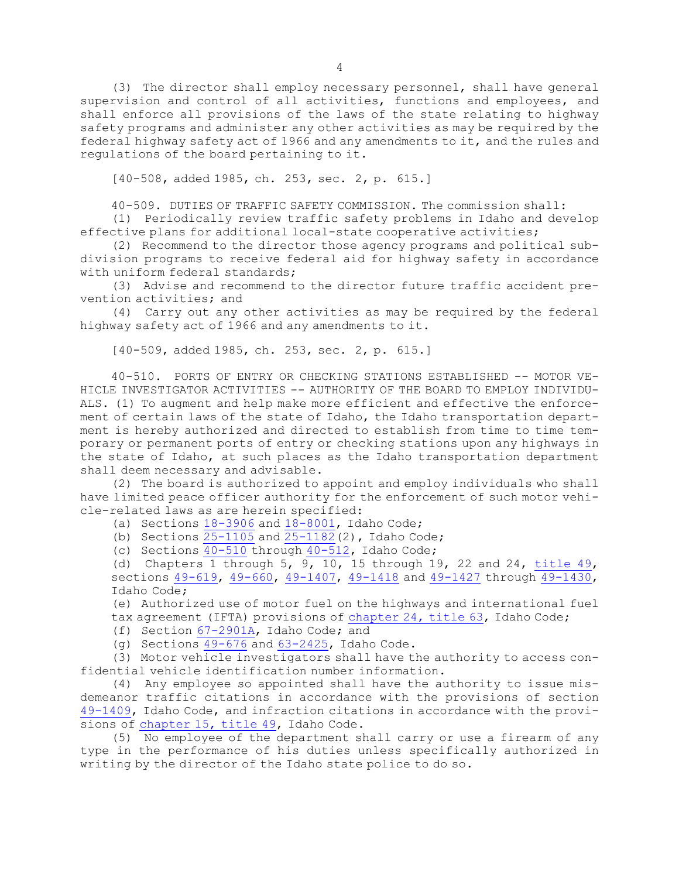(3) The director shall employ necessary personnel, shall have general supervision and control of all activities, functions and employees, and shall enforce all provisions of the laws of the state relating to highway safety programs and administer any other activities as may be required by the federal highway safety act of 1966 and any amendments to it, and the rules and regulations of the board pertaining to it.

[40-508, added 1985, ch. 253, sec. 2, p. 615.]

40-509. DUTIES OF TRAFFIC SAFETY COMMISSION. The commission shall:

(1) Periodically review traffic safety problems in Idaho and develop effective plans for additional local-state cooperative activities;

(2) Recommend to the director those agency programs and political subdivision programs to receive federal aid for highway safety in accordance with uniform federal standards;

(3) Advise and recommend to the director future traffic accident prevention activities; and

(4) Carry out any other activities as may be required by the federal highway safety act of 1966 and any amendments to it.

[40-509, added 1985, ch. 253, sec. 2, p. 615.]

40-510. PORTS OF ENTRY OR CHECKING STATIONS ESTABLISHED -- MOTOR VE-HICLE INVESTIGATOR ACTIVITIES -- AUTHORITY OF THE BOARD TO EMPLOY INDIVIDU-ALS. (1) To augment and help make more efficient and effective the enforcement of certain laws of the state of Idaho, the Idaho transportation department is hereby authorized and directed to establish from time to time temporary or permanent ports of entry or checking stations upon any highways in the state of Idaho, at such places as the Idaho transportation department shall deem necessary and advisable.

(2) The board is authorized to appoint and employ individuals who shall have limited peace officer authority for the enforcement of such motor vehicle-related laws as are herein specified:

- (a) Sections [18-3906](https://legislature.idaho.gov/statutesrules/idstat/Title18/T18CH39/SECT18-3906) and [18-8001](https://legislature.idaho.gov/statutesrules/idstat/Title18/T18CH80/SECT18-8001), Idaho Code;
- (b) Sections  $25-1105$  and  $25-1182$  (2), Idaho Code;
- (c) Sections  $\frac{40-510}{10}$  $\frac{40-510}{10}$  $\frac{40-510}{10}$  through  $\frac{40-512}{10}$  $\frac{40-512}{10}$  $\frac{40-512}{10}$ , Idaho Code;

(d) Chapters 1 through  $5$ ,  $9$ ,  $10$ ,  $15$  through  $19$ ,  $22$  and  $24$ , [title](https://legislature.idaho.gov/statutesrules/idstat/Title49/)  $49$ , sections [49-619](https://legislature.idaho.gov/statutesrules/idstat/Title49/T49CH6/SECT49-619), [49-660](https://legislature.idaho.gov/statutesrules/idstat/Title49/T49CH6/SECT49-660), [49-1407](https://legislature.idaho.gov/statutesrules/idstat/Title49/T49CH14/SECT49-1407), [49-1418](https://legislature.idaho.gov/statutesrules/idstat/Title49/T49CH14/SECT49-1418) and [49-1427](https://legislature.idaho.gov/statutesrules/idstat/Title49/T49CH14/SECT49-1427) through [49-1430](https://legislature.idaho.gov/statutesrules/idstat/Title49/T49CH14/SECT49-1430), Idaho Code;

(e) Authorized use of motor fuel on the highways and international fuel

tax agreement (IFTA) provisions of [chapter](https://legislature.idaho.gov/statutesrules/idstat/Title63/T63CH24) 24, title 63, Idaho Code;

- (f) Section [67-2901A](https://legislature.idaho.gov/statutesrules/idstat/Title67/T67CH29/SECT67-2901A), Idaho Code; and
- (g) Sections [49-676](https://legislature.idaho.gov/statutesrules/idstat/Title49/T49CH6/SECT49-676) and [63-2425](https://legislature.idaho.gov/statutesrules/idstat/Title63/T63CH24/SECT63-2425), Idaho Code.

(3) Motor vehicle investigators shall have the authority to access confidential vehicle identification number information.

(4) Any employee so appointed shall have the authority to issue misdemeanor traffic citations in accordance with the provisions of section [49-1409](https://legislature.idaho.gov/statutesrules/idstat/Title49/T49CH14/SECT49-1409), Idaho Code, and infraction citations in accordance with the provisions of [chapter](https://legislature.idaho.gov/statutesrules/idstat/Title49/T49CH15) 15, title 49, Idaho Code.

(5) No employee of the department shall carry or use <sup>a</sup> firearm of any type in the performance of his duties unless specifically authorized in writing by the director of the Idaho state police to do so.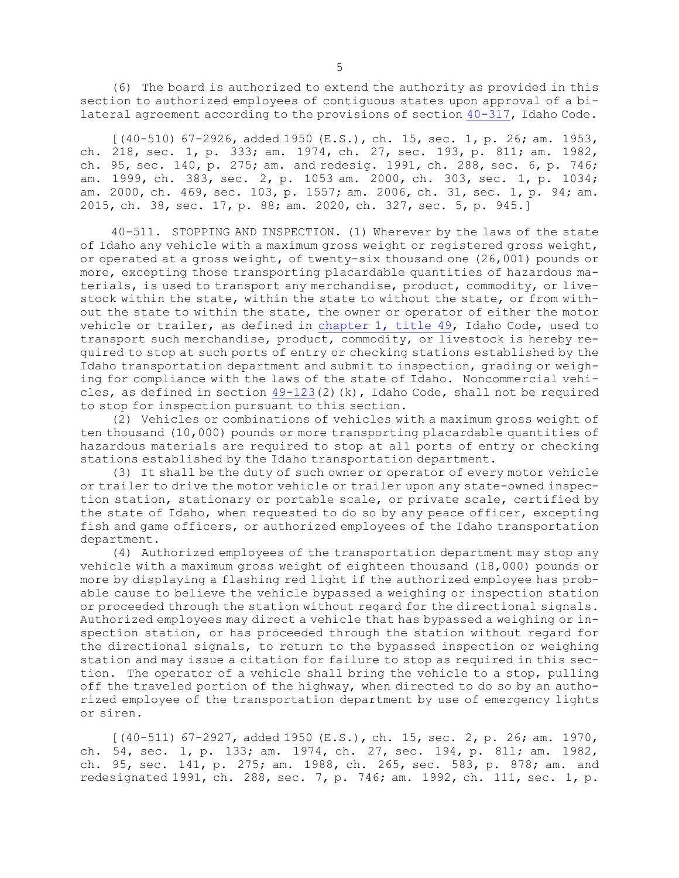(6) The board is authorized to extend the authority as provided in this section to authorized employees of contiguous states upon approval of <sup>a</sup> bilateral agreement according to the provisions of section [40-317](https://legislature.idaho.gov/statutesrules/idstat/Title40/T40CH3/SECT40-317), Idaho Code.

[(40-510) 67-2926, added 1950 (E.S.), ch. 15, sec. 1, p. 26; am. 1953, ch. 218, sec. 1, p. 333; am. 1974, ch. 27, sec. 193, p. 811; am. 1982, ch. 95, sec. 140, p. 275; am. and redesig. 1991, ch. 288, sec. 6, p. 746; am. 1999, ch. 383, sec. 2, p. 1053 am. 2000, ch. 303, sec. 1, p. 1034; am. 2000, ch. 469, sec. 103, p. 1557; am. 2006, ch. 31, sec. 1, p. 94; am. 2015, ch. 38, sec. 17, p. 88; am. 2020, ch. 327, sec. 5, p. 945.]

40-511. STOPPING AND INSPECTION. (1) Wherever by the laws of the state of Idaho any vehicle with <sup>a</sup> maximum gross weight or registered gross weight, or operated at <sup>a</sup> gross weight, of twenty-six thousand one (26,001) pounds or more, excepting those transporting placardable quantities of hazardous materials, is used to transport any merchandise, product, commodity, or livestock within the state, within the state to without the state, or from without the state to within the state, the owner or operator of either the motor vehicle or trailer, as defined in [chapter](https://legislature.idaho.gov/statutesrules/idstat/Title49/T49CH1) 1, title 49, Idaho Code, used to transport such merchandise, product, commodity, or livestock is hereby required to stop at such ports of entry or checking stations established by the Idaho transportation department and submit to inspection, grading or weighing for compliance with the laws of the state of Idaho. Noncommercial vehicles, as defined in section  $49-123(2)(k)$  $49-123(2)(k)$ , Idaho Code, shall not be required to stop for inspection pursuant to this section.

(2) Vehicles or combinations of vehicles with <sup>a</sup> maximum gross weight of ten thousand (10,000) pounds or more transporting placardable quantities of hazardous materials are required to stop at all ports of entry or checking stations established by the Idaho transportation department.

(3) It shall be the duty of such owner or operator of every motor vehicle or trailer to drive the motor vehicle or trailer upon any state-owned inspection station, stationary or portable scale, or private scale, certified by the state of Idaho, when requested to do so by any peace officer, excepting fish and game officers, or authorized employees of the Idaho transportation department.

(4) Authorized employees of the transportation department may stop any vehicle with <sup>a</sup> maximum gross weight of eighteen thousand (18,000) pounds or more by displaying <sup>a</sup> flashing red light if the authorized employee has probable cause to believe the vehicle bypassed <sup>a</sup> weighing or inspection station or proceeded through the station without regard for the directional signals. Authorized employees may direct <sup>a</sup> vehicle that has bypassed <sup>a</sup> weighing or inspection station, or has proceeded through the station without regard for the directional signals, to return to the bypassed inspection or weighing station and may issue <sup>a</sup> citation for failure to stop as required in this section. The operator of <sup>a</sup> vehicle shall bring the vehicle to <sup>a</sup> stop, pulling off the traveled portion of the highway, when directed to do so by an authorized employee of the transportation department by use of emergency lights or siren.

[(40-511) 67-2927, added 1950 (E.S.), ch. 15, sec. 2, p. 26; am. 1970, ch. 54, sec. 1, p. 133; am. 1974, ch. 27, sec. 194, p. 811; am. 1982, ch. 95, sec. 141, p. 275; am. 1988, ch. 265, sec. 583, p. 878; am. and redesignated 1991, ch. 288, sec. 7, p. 746; am. 1992, ch. 111, sec. 1, p.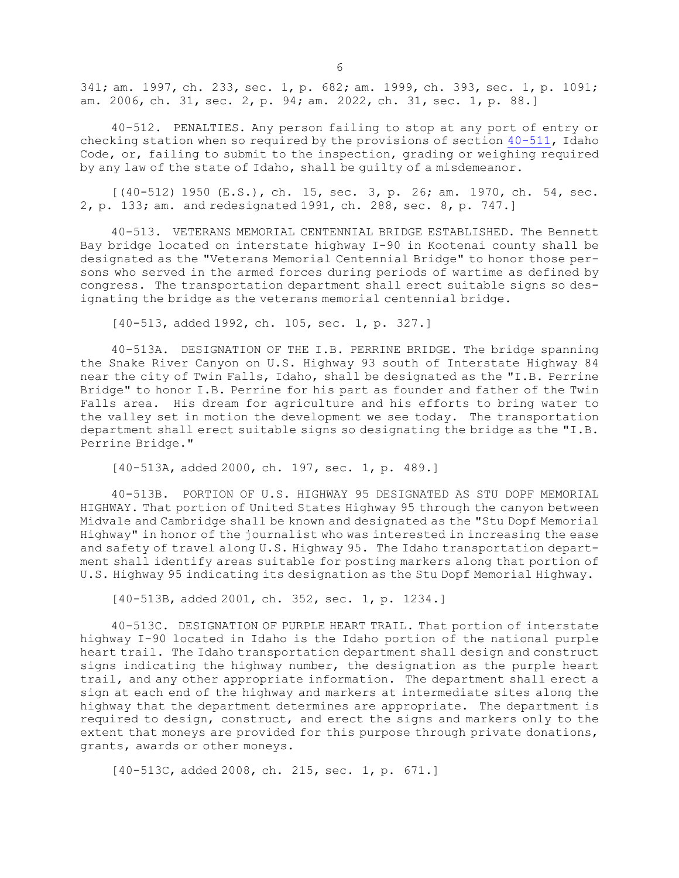341; am. 1997, ch. 233, sec. 1, p. 682; am. 1999, ch. 393, sec. 1, p. 1091; am. 2006, ch. 31, sec. 2, p. 94; am. 2022, ch. 31, sec. 1, p. 88.]

40-512. PENALTIES. Any person failing to stop at any port of entry or checking station when so required by the provisions of section [40-511](https://legislature.idaho.gov/statutesrules/idstat/Title40/T40CH5/SECT40-511), Idaho Code, or, failing to submit to the inspection, grading or weighing required by any law of the state of Idaho, shall be guilty of <sup>a</sup> misdemeanor.

 $[(40-512) 1950 (E.S.), ch. 15, sec. 3, p. 26; am. 1970, ch. 54, sec.$ 2, p. 133; am. and redesignated 1991, ch. 288, sec. 8, p. 747.]

40-513. VETERANS MEMORIAL CENTENNIAL BRIDGE ESTABLISHED. The Bennett Bay bridge located on interstate highway I-90 in Kootenai county shall be designated as the "Veterans Memorial Centennial Bridge" to honor those persons who served in the armed forces during periods of wartime as defined by congress. The transportation department shall erect suitable signs so designating the bridge as the veterans memorial centennial bridge.

[40-513, added 1992, ch. 105, sec. 1, p. 327.]

40-513A. DESIGNATION OF THE I.B. PERRINE BRIDGE. The bridge spanning the Snake River Canyon on U.S. Highway 93 south of Interstate Highway 84 near the city of Twin Falls, Idaho, shall be designated as the "I.B. Perrine Bridge" to honor I.B. Perrine for his part as founder and father of the Twin Falls area. His dream for agriculture and his efforts to bring water to the valley set in motion the development we see today. The transportation department shall erect suitable signs so designating the bridge as the "I.B. Perrine Bridge."

[40-513A, added 2000, ch. 197, sec. 1, p. 489.]

40-513B. PORTION OF U.S. HIGHWAY 95 DESIGNATED AS STU DOPF MEMORIAL HIGHWAY. That portion of United States Highway 95 through the canyon between Midvale and Cambridge shall be known and designated as the "Stu Dopf Memorial Highway" in honor of the journalist who was interested in increasing the ease and safety of travel along U.S. Highway 95. The Idaho transportation department shall identify areas suitable for posting markers along that portion of U.S. Highway 95 indicating its designation as the Stu Dopf Memorial Highway.

[40-513B, added 2001, ch. 352, sec. 1, p. 1234.]

40-513C. DESIGNATION OF PURPLE HEART TRAIL. That portion of interstate highway I-90 located in Idaho is the Idaho portion of the national purple heart trail. The Idaho transportation department shall design and construct signs indicating the highway number, the designation as the purple heart trail, and any other appropriate information. The department shall erect <sup>a</sup> sign at each end of the highway and markers at intermediate sites along the highway that the department determines are appropriate. The department is required to design, construct, and erect the signs and markers only to the extent that moneys are provided for this purpose through private donations, grants, awards or other moneys.

[40-513C, added 2008, ch. 215, sec. 1, p. 671.]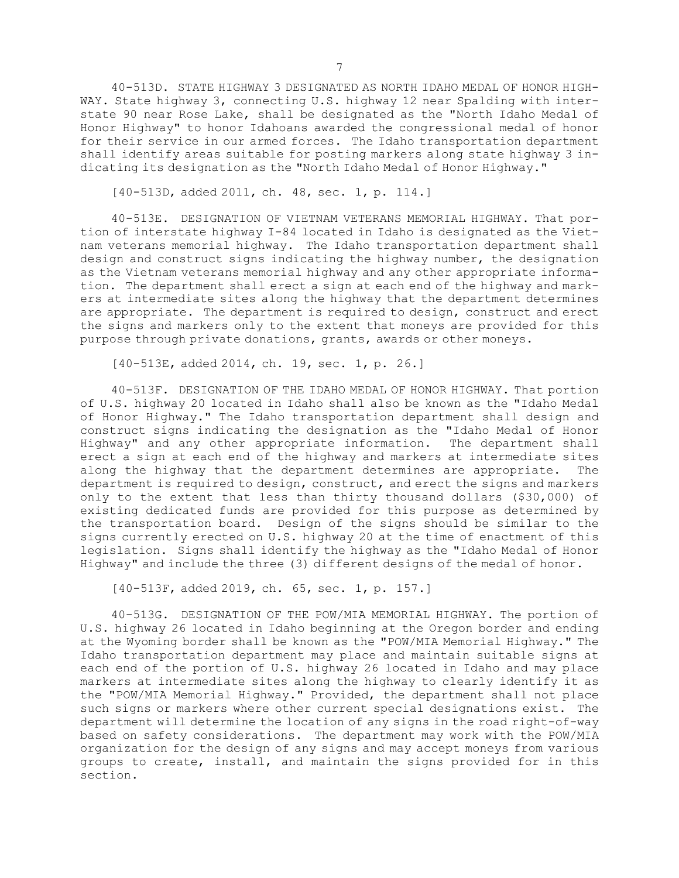40-513D. STATE HIGHWAY 3 DESIGNATED AS NORTH IDAHO MEDAL OF HONOR HIGH-WAY. State highway 3, connecting U.S. highway 12 near Spalding with interstate 90 near Rose Lake, shall be designated as the "North Idaho Medal of Honor Highway" to honor Idahoans awarded the congressional medal of honor for their service in our armed forces. The Idaho transportation department shall identify areas suitable for posting markers along state highway 3 indicating its designation as the "North Idaho Medal of Honor Highway."

[40-513D, added 2011, ch. 48, sec. 1, p. 114.]

40-513E. DESIGNATION OF VIETNAM VETERANS MEMORIAL HIGHWAY. That portion of interstate highway I-84 located in Idaho is designated as the Vietnam veterans memorial highway. The Idaho transportation department shall design and construct signs indicating the highway number, the designation as the Vietnam veterans memorial highway and any other appropriate information. The department shall erect <sup>a</sup> sign at each end of the highway and markers at intermediate sites along the highway that the department determines are appropriate. The department is required to design, construct and erect the signs and markers only to the extent that moneys are provided for this purpose through private donations, grants, awards or other moneys.

[40-513E, added 2014, ch. 19, sec. 1, p. 26.]

40-513F. DESIGNATION OF THE IDAHO MEDAL OF HONOR HIGHWAY. That portion of U.S. highway 20 located in Idaho shall also be known as the "Idaho Medal of Honor Highway." The Idaho transportation department shall design and construct signs indicating the designation as the "Idaho Medal of Honor Highway" and any other appropriate information. The department shall erect <sup>a</sup> sign at each end of the highway and markers at intermediate sites along the highway that the department determines are appropriate. The department is required to design, construct, and erect the signs and markers only to the extent that less than thirty thousand dollars (\$30,000) of existing dedicated funds are provided for this purpose as determined by the transportation board. Design of the signs should be similar to the signs currently erected on U.S. highway 20 at the time of enactment of this legislation. Signs shall identify the highway as the "Idaho Medal of Honor Highway" and include the three (3) different designs of the medal of honor.

[40-513F, added 2019, ch. 65, sec. 1, p. 157.]

40-513G. DESIGNATION OF THE POW/MIA MEMORIAL HIGHWAY. The portion of U.S. highway 26 located in Idaho beginning at the Oregon border and ending at the Wyoming border shall be known as the "POW/MIA Memorial Highway." The Idaho transportation department may place and maintain suitable signs at each end of the portion of U.S. highway 26 located in Idaho and may place markers at intermediate sites along the highway to clearly identify it as the "POW/MIA Memorial Highway." Provided, the department shall not place such signs or markers where other current special designations exist. The department will determine the location of any signs in the road right-of-way based on safety considerations. The department may work with the POW/MIA organization for the design of any signs and may accept moneys from various groups to create, install, and maintain the signs provided for in this section.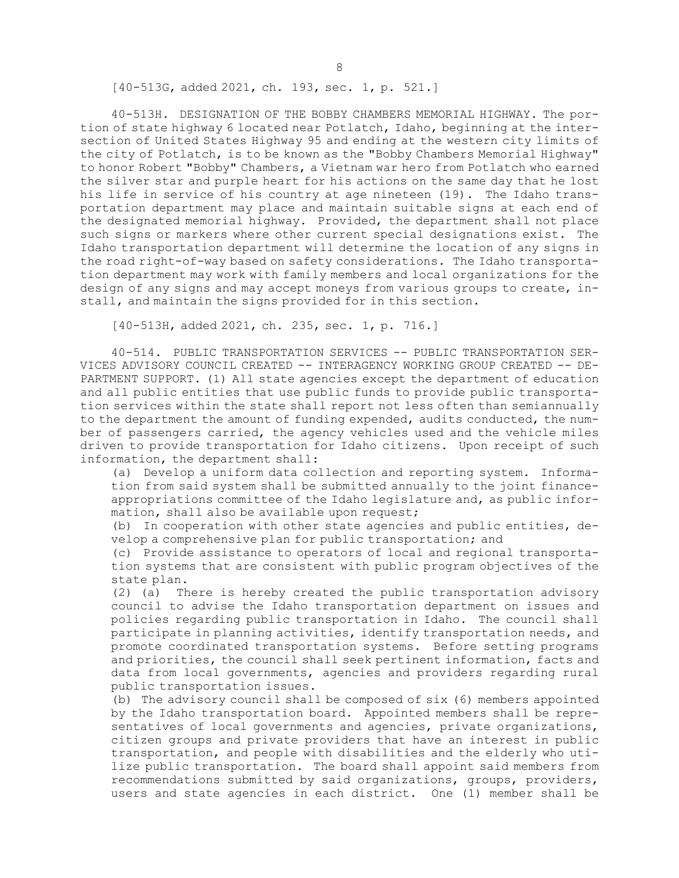[40-513G, added 2021, ch. 193, sec. 1, p. 521.]

40-513H. DESIGNATION OF THE BOBBY CHAMBERS MEMORIAL HIGHWAY. The portion of state highway 6 located near Potlatch, Idaho, beginning at the intersection of United States Highway 95 and ending at the western city limits of the city of Potlatch, is to be known as the "Bobby Chambers Memorial Highway" to honor Robert "Bobby" Chambers, <sup>a</sup> Vietnam war hero from Potlatch who earned the silver star and purple heart for his actions on the same day that he lost his life in service of his country at age nineteen (19). The Idaho transportation department may place and maintain suitable signs at each end of the designated memorial highway. Provided, the department shall not place such signs or markers where other current special designations exist. The Idaho transportation department will determine the location of any signs in the road right-of-way based on safety considerations. The Idaho transportation department may work with family members and local organizations for the design of any signs and may accept moneys from various groups to create, install, and maintain the signs provided for in this section.

[40-513H, added 2021, ch. 235, sec. 1, p. 716.]

40-514. PUBLIC TRANSPORTATION SERVICES -- PUBLIC TRANSPORTATION SER-VICES ADVISORY COUNCIL CREATED -- INTERAGENCY WORKING GROUP CREATED -- DE-PARTMENT SUPPORT. (1) All state agencies except the department of education and all public entities that use public funds to provide public transportation services within the state shall report not less often than semiannually to the department the amount of funding expended, audits conducted, the number of passengers carried, the agency vehicles used and the vehicle miles driven to provide transportation for Idaho citizens. Upon receipt of such information, the department shall:

(a) Develop <sup>a</sup> uniform data collection and reporting system. Information from said system shall be submitted annually to the joint financeappropriations committee of the Idaho legislature and, as public information, shall also be available upon request;

(b) In cooperation with other state agencies and public entities, develop <sup>a</sup> comprehensive plan for public transportation; and

(c) Provide assistance to operators of local and regional transportation systems that are consistent with public program objectives of the state plan.

(2) (a) There is hereby created the public transportation advisory council to advise the Idaho transportation department on issues and policies regarding public transportation in Idaho. The council shall participate in planning activities, identify transportation needs, and promote coordinated transportation systems. Before setting programs and priorities, the council shall seek pertinent information, facts and data from local governments, agencies and providers regarding rural public transportation issues.

(b) The advisory council shall be composed of six (6) members appointed by the Idaho transportation board. Appointed members shall be representatives of local governments and agencies, private organizations, citizen groups and private providers that have an interest in public transportation, and people with disabilities and the elderly who utilize public transportation. The board shall appoint said members from recommendations submitted by said organizations, groups, providers, users and state agencies in each district. One (1) member shall be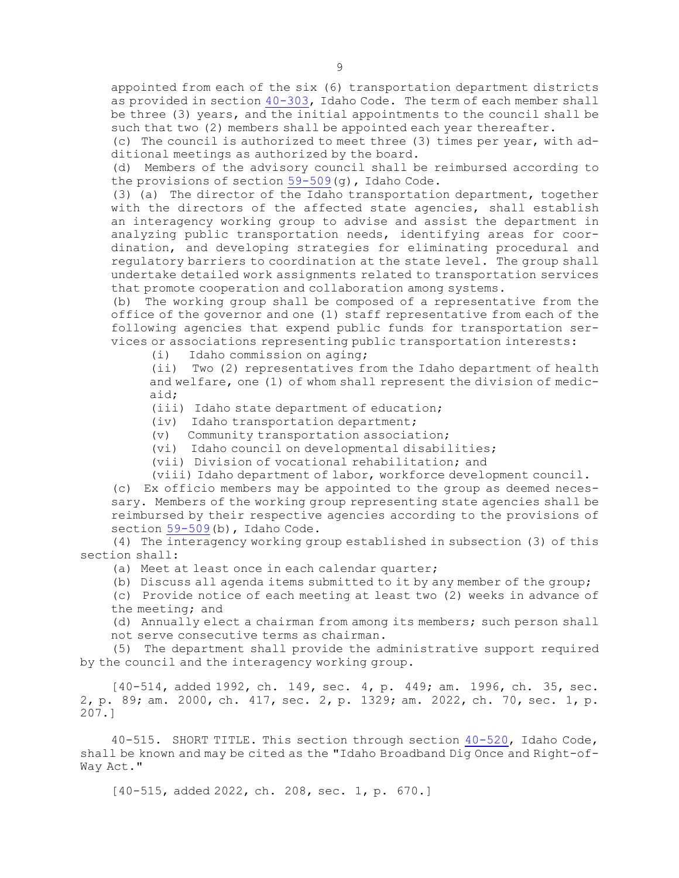appointed from each of the six (6) transportation department districts as provided in section [40-303](https://legislature.idaho.gov/statutesrules/idstat/Title40/T40CH3/SECT40-303), Idaho Code. The term of each member shall be three (3) years, and the initial appointments to the council shall be such that two (2) members shall be appointed each year thereafter.

(c) The council is authorized to meet three (3) times per year, with additional meetings as authorized by the board.

(d) Members of the advisory council shall be reimbursed according to the provisions of section [59-509](https://legislature.idaho.gov/statutesrules/idstat/Title59/T59CH5/SECT59-509)(g), Idaho Code.

(3) (a) The director of the Idaho transportation department, together with the directors of the affected state agencies, shall establish an interagency working group to advise and assist the department in analyzing public transportation needs, identifying areas for coordination, and developing strategies for eliminating procedural and regulatory barriers to coordination at the state level. The group shall undertake detailed work assignments related to transportation services that promote cooperation and collaboration among systems.

(b) The working group shall be composed of <sup>a</sup> representative from the office of the governor and one (1) staff representative from each of the following agencies that expend public funds for transportation services or associations representing public transportation interests:

(i) Idaho commission on aging;

(ii) Two (2) representatives from the Idaho department of health and welfare, one (1) of whom shall represent the division of medicaid;

(iii) Idaho state department of education;

(iv) Idaho transportation department;

(v) Community transportation association;

(vi) Idaho council on developmental disabilities;

(vii) Division of vocational rehabilitation; and

(viii) Idaho department of labor, workforce development council.

(c) Ex officio members may be appointed to the group as deemed necessary. Members of the working group representing state agencies shall be reimbursed by their respective agencies according to the provisions of section [59-509](https://legislature.idaho.gov/statutesrules/idstat/Title59/T59CH5/SECT59-509)(b), Idaho Code.

(4) The interagency working group established in subsection (3) of this section shall:

(a) Meet at least once in each calendar quarter;

(b) Discuss all agenda items submitted to it by any member of the group;

(c) Provide notice of each meeting at least two (2) weeks in advance of the meeting; and

(d) Annually elect <sup>a</sup> chairman from among its members; such person shall not serve consecutive terms as chairman.

(5) The department shall provide the administrative support required by the council and the interagency working group.

[40-514, added 1992, ch. 149, sec. 4, p. 449; am. 1996, ch. 35, sec. 2, p. 89; am. 2000, ch. 417, sec. 2, p. 1329; am. 2022, ch. 70, sec. 1, p. 207.]

40-515. SHORT TITLE. This section through section [40-520](https://legislature.idaho.gov/statutesrules/idstat/Title40/T40CH5/SECT40-520), Idaho Code, shall be known and may be cited as the "Idaho Broadband Dig Once and Right-of-Way Act."

[40-515, added 2022, ch. 208, sec. 1, p. 670.]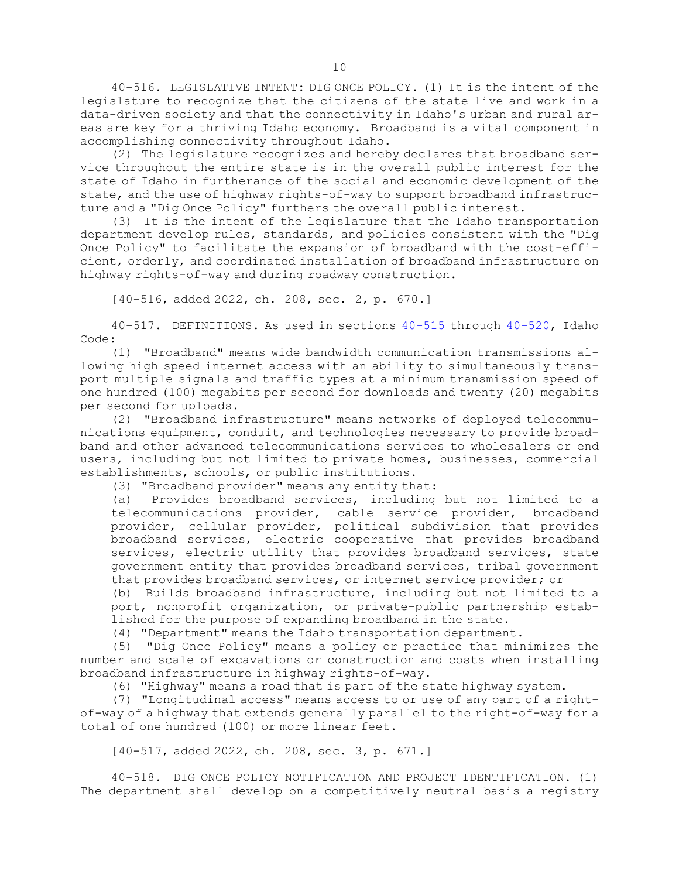40-516. LEGISLATIVE INTENT: DIG ONCE POLICY. (1) It is the intent of the legislature to recognize that the citizens of the state live and work in <sup>a</sup> data-driven society and that the connectivity in Idaho's urban and rural areas are key for <sup>a</sup> thriving Idaho economy. Broadband is <sup>a</sup> vital component in accomplishing connectivity throughout Idaho.

(2) The legislature recognizes and hereby declares that broadband service throughout the entire state is in the overall public interest for the state of Idaho in furtherance of the social and economic development of the state, and the use of highway rights-of-way to support broadband infrastructure and <sup>a</sup> "Dig Once Policy" furthers the overall public interest.

(3) It is the intent of the legislature that the Idaho transportation department develop rules, standards, and policies consistent with the "Dig Once Policy" to facilitate the expansion of broadband with the cost-efficient, orderly, and coordinated installation of broadband infrastructure on highway rights-of-way and during roadway construction.

[40-516, added 2022, ch. 208, sec. 2, p. 670.]

40-517. DEFINITIONS. As used in sections [40-515](https://legislature.idaho.gov/statutesrules/idstat/Title40/T40CH5/SECT40-515) through [40-520](https://legislature.idaho.gov/statutesrules/idstat/Title40/T40CH5/SECT40-520), Idaho Code:

(1) "Broadband" means wide bandwidth communication transmissions allowing high speed internet access with an ability to simultaneously transport multiple signals and traffic types at <sup>a</sup> minimum transmission speed of one hundred (100) megabits per second for downloads and twenty (20) megabits per second for uploads.

(2) "Broadband infrastructure" means networks of deployed telecommunications equipment, conduit, and technologies necessary to provide broadband and other advanced telecommunications services to wholesalers or end users, including but not limited to private homes, businesses, commercial establishments, schools, or public institutions.

(3) "Broadband provider" means any entity that:

(a) Provides broadband services, including but not limited to <sup>a</sup> telecommunications provider, cable service provider, broadband provider, cellular provider, political subdivision that provides broadband services, electric cooperative that provides broadband services, electric utility that provides broadband services, state government entity that provides broadband services, tribal government that provides broadband services, or internet service provider; or

(b) Builds broadband infrastructure, including but not limited to <sup>a</sup> port, nonprofit organization, or private-public partnership established for the purpose of expanding broadband in the state.

(4) "Department" means the Idaho transportation department.

(5) "Dig Once Policy" means <sup>a</sup> policy or practice that minimizes the number and scale of excavations or construction and costs when installing broadband infrastructure in highway rights-of-way.

(6) "Highway" means <sup>a</sup> road that is part of the state highway system.

(7) "Longitudinal access" means access to or use of any part of <sup>a</sup> rightof-way of <sup>a</sup> highway that extends generally parallel to the right-of-way for <sup>a</sup> total of one hundred (100) or more linear feet.

[40-517, added 2022, ch. 208, sec. 3, p. 671.]

40-518. DIG ONCE POLICY NOTIFICATION AND PROJECT IDENTIFICATION. (1) The department shall develop on <sup>a</sup> competitively neutral basis <sup>a</sup> registry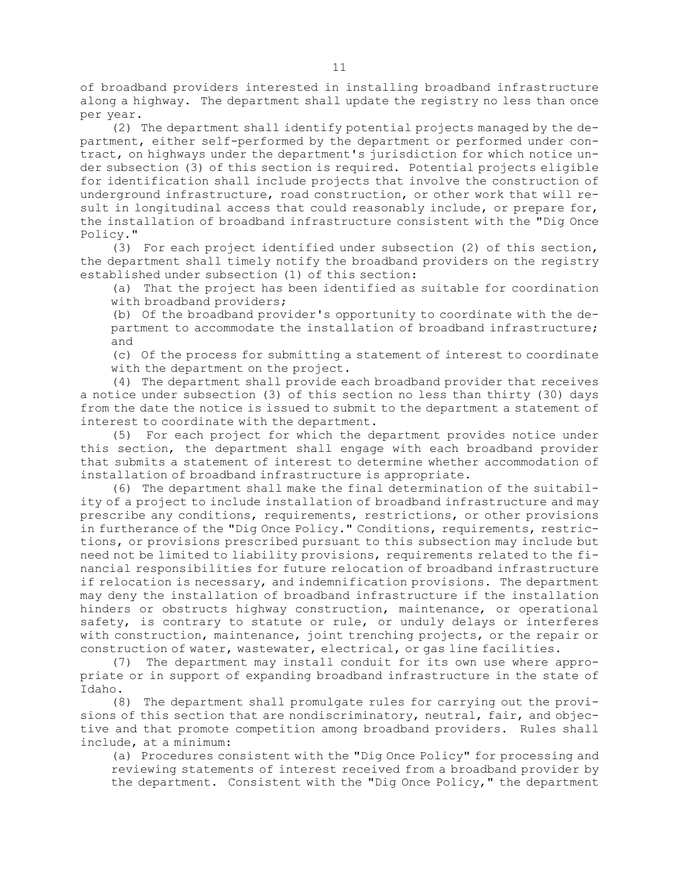of broadband providers interested in installing broadband infrastructure along <sup>a</sup> highway. The department shall update the registry no less than once per year.

(2) The department shall identify potential projects managed by the department, either self-performed by the department or performed under contract, on highways under the department's jurisdiction for which notice under subsection (3) of this section is required. Potential projects eligible for identification shall include projects that involve the construction of underground infrastructure, road construction, or other work that will result in longitudinal access that could reasonably include, or prepare for, the installation of broadband infrastructure consistent with the "Dig Once Policy."

(3) For each project identified under subsection (2) of this section, the department shall timely notify the broadband providers on the registry established under subsection (1) of this section:

(a) That the project has been identified as suitable for coordination with broadband providers;

(b) Of the broadband provider's opportunity to coordinate with the department to accommodate the installation of broadband infrastructure; and

(c) Of the process for submitting <sup>a</sup> statement of interest to coordinate with the department on the project.

(4) The department shall provide each broadband provider that receives <sup>a</sup> notice under subsection (3) of this section no less than thirty (30) days from the date the notice is issued to submit to the department <sup>a</sup> statement of interest to coordinate with the department.

(5) For each project for which the department provides notice under this section, the department shall engage with each broadband provider that submits <sup>a</sup> statement of interest to determine whether accommodation of installation of broadband infrastructure is appropriate.

(6) The department shall make the final determination of the suitability of <sup>a</sup> project to include installation of broadband infrastructure and may prescribe any conditions, requirements, restrictions, or other provisions in furtherance of the "Dig Once Policy." Conditions, requirements, restrictions, or provisions prescribed pursuant to this subsection may include but need not be limited to liability provisions, requirements related to the financial responsibilities for future relocation of broadband infrastructure if relocation is necessary, and indemnification provisions. The department may deny the installation of broadband infrastructure if the installation hinders or obstructs highway construction, maintenance, or operational safety, is contrary to statute or rule, or unduly delays or interferes with construction, maintenance, joint trenching projects, or the repair or construction of water, wastewater, electrical, or gas line facilities.

(7) The department may install conduit for its own use where appropriate or in support of expanding broadband infrastructure in the state of Idaho.

(8) The department shall promulgate rules for carrying out the provisions of this section that are nondiscriminatory, neutral, fair, and objective and that promote competition among broadband providers. Rules shall include, at <sup>a</sup> minimum:

(a) Procedures consistent with the "Dig Once Policy" for processing and reviewing statements of interest received from <sup>a</sup> broadband provider by the department. Consistent with the "Dig Once Policy," the department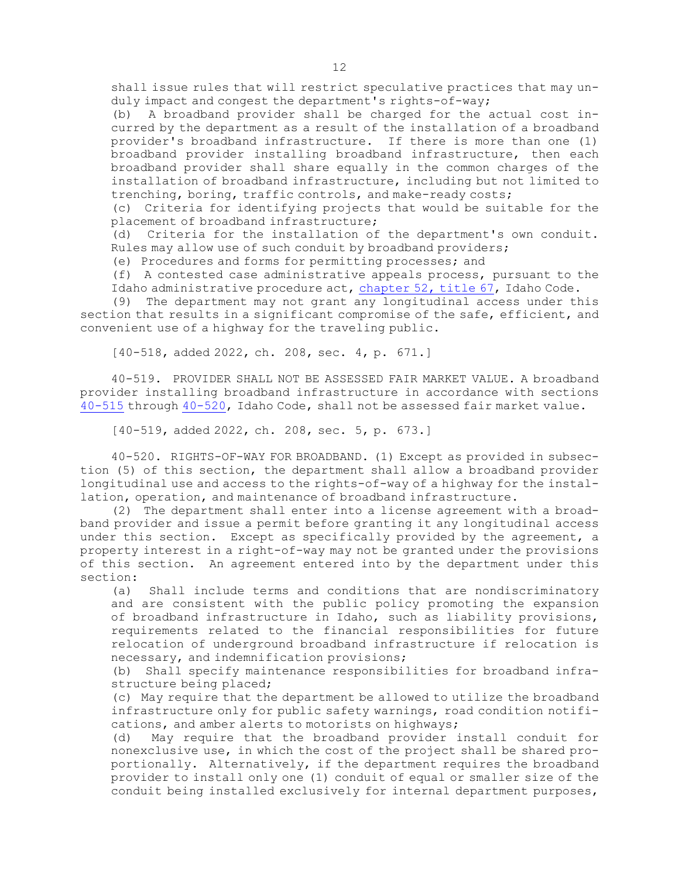shall issue rules that will restrict speculative practices that may unduly impact and congest the department's rights-of-way;

(b) <sup>A</sup> broadband provider shall be charged for the actual cost incurred by the department as <sup>a</sup> result of the installation of <sup>a</sup> broadband provider's broadband infrastructure. If there is more than one (1) broadband provider installing broadband infrastructure, then each broadband provider shall share equally in the common charges of the installation of broadband infrastructure, including but not limited to trenching, boring, traffic controls, and make-ready costs;

(c) Criteria for identifying projects that would be suitable for the placement of broadband infrastructure;

(d) Criteria for the installation of the department's own conduit. Rules may allow use of such conduit by broadband providers;

(e) Procedures and forms for permitting processes; and

(f) <sup>A</sup> contested case administrative appeals process, pursuant to the Idaho administrative procedure act, [chapter](https://legislature.idaho.gov/statutesrules/idstat/Title67/T67CH52) 52, title 67, Idaho Code.

(9) The department may not grant any longitudinal access under this section that results in <sup>a</sup> significant compromise of the safe, efficient, and convenient use of <sup>a</sup> highway for the traveling public.

[40-518, added 2022, ch. 208, sec. 4, p. 671.]

40-519. PROVIDER SHALL NOT BE ASSESSED FAIR MARKET VALUE. A broadband provider installing broadband infrastructure in accordance with sections [40-515](https://legislature.idaho.gov/statutesrules/idstat/Title40/T40CH5/SECT40-515) through [40-520](https://legislature.idaho.gov/statutesrules/idstat/Title40/T40CH5/SECT40-520), Idaho Code, shall not be assessed fair market value.

[40-519, added 2022, ch. 208, sec. 5, p. 673.]

40-520. RIGHTS-OF-WAY FOR BROADBAND. (1) Except as provided in subsection (5) of this section, the department shall allow <sup>a</sup> broadband provider longitudinal use and access to the rights-of-way of <sup>a</sup> highway for the installation, operation, and maintenance of broadband infrastructure.

(2) The department shall enter into <sup>a</sup> license agreement with <sup>a</sup> broadband provider and issue <sup>a</sup> permit before granting it any longitudinal access under this section. Except as specifically provided by the agreement, <sup>a</sup> property interest in <sup>a</sup> right-of-way may not be granted under the provisions of this section. An agreement entered into by the department under this section:

(a) Shall include terms and conditions that are nondiscriminatory and are consistent with the public policy promoting the expansion of broadband infrastructure in Idaho, such as liability provisions, requirements related to the financial responsibilities for future relocation of underground broadband infrastructure if relocation is necessary, and indemnification provisions;

(b) Shall specify maintenance responsibilities for broadband infrastructure being placed;

(c) May require that the department be allowed to utilize the broadband infrastructure only for public safety warnings, road condition notifications, and amber alerts to motorists on highways;

(d) May require that the broadband provider install conduit for nonexclusive use, in which the cost of the project shall be shared proportionally. Alternatively, if the department requires the broadband provider to install only one (1) conduit of equal or smaller size of the conduit being installed exclusively for internal department purposes,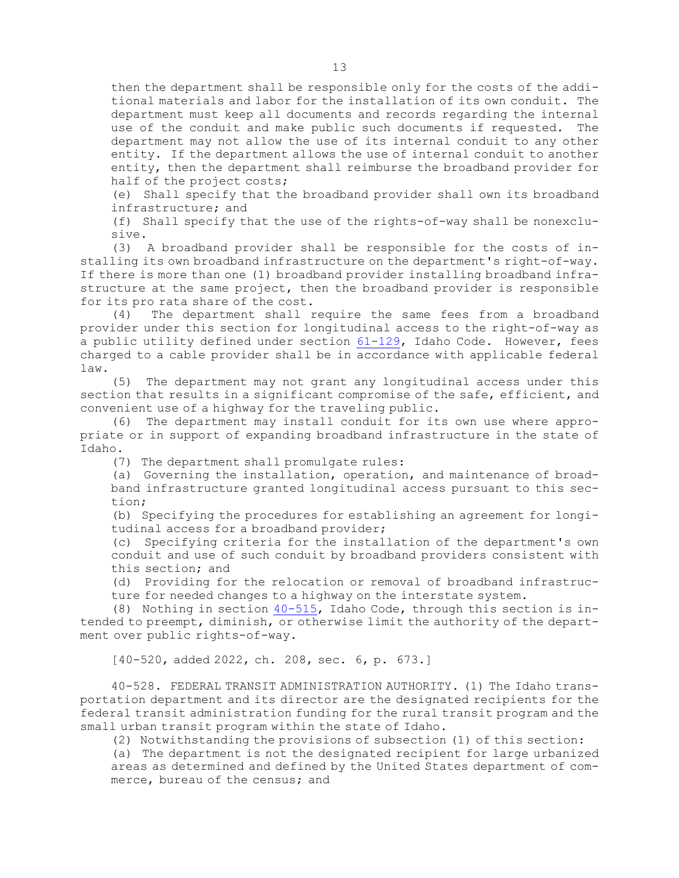then the department shall be responsible only for the costs of the additional materials and labor for the installation of its own conduit. The department must keep all documents and records regarding the internal use of the conduit and make public such documents if requested. The department may not allow the use of its internal conduit to any other entity. If the department allows the use of internal conduit to another entity, then the department shall reimburse the broadband provider for half of the project costs;

(e) Shall specify that the broadband provider shall own its broadband infrastructure; and

(f) Shall specify that the use of the rights-of-way shall be nonexclusive.

(3) <sup>A</sup> broadband provider shall be responsible for the costs of installing its own broadband infrastructure on the department's right-of-way. If there is more than one (1) broadband provider installing broadband infrastructure at the same project, then the broadband provider is responsible for its pro rata share of the cost.

(4) The department shall require the same fees from <sup>a</sup> broadband provider under this section for longitudinal access to the right-of-way as <sup>a</sup> public utility defined under section [61-129](https://legislature.idaho.gov/statutesrules/idstat/Title61/T61CH1/SECT61-129), Idaho Code. However, fees charged to <sup>a</sup> cable provider shall be in accordance with applicable federal law.

(5) The department may not grant any longitudinal access under this section that results in <sup>a</sup> significant compromise of the safe, efficient, and convenient use of <sup>a</sup> highway for the traveling public.

(6) The department may install conduit for its own use where appropriate or in support of expanding broadband infrastructure in the state of Idaho.

(7) The department shall promulgate rules:

(a) Governing the installation, operation, and maintenance of broadband infrastructure granted longitudinal access pursuant to this section;

(b) Specifying the procedures for establishing an agreement for longitudinal access for <sup>a</sup> broadband provider;

(c) Specifying criteria for the installation of the department's own conduit and use of such conduit by broadband providers consistent with this section; and

(d) Providing for the relocation or removal of broadband infrastructure for needed changes to <sup>a</sup> highway on the interstate system.

(8) Nothing in section [40-515](https://legislature.idaho.gov/statutesrules/idstat/Title40/T40CH5/SECT40-515), Idaho Code, through this section is intended to preempt, diminish, or otherwise limit the authority of the department over public rights-of-way.

[40-520, added 2022, ch. 208, sec. 6, p. 673.]

40-528. FEDERAL TRANSIT ADMINISTRATION AUTHORITY. (1) The Idaho transportation department and its director are the designated recipients for the federal transit administration funding for the rural transit program and the small urban transit program within the state of Idaho.

(2) Notwithstanding the provisions of subsection (1) of this section:

(a) The department is not the designated recipient for large urbanized areas as determined and defined by the United States department of commerce, bureau of the census; and